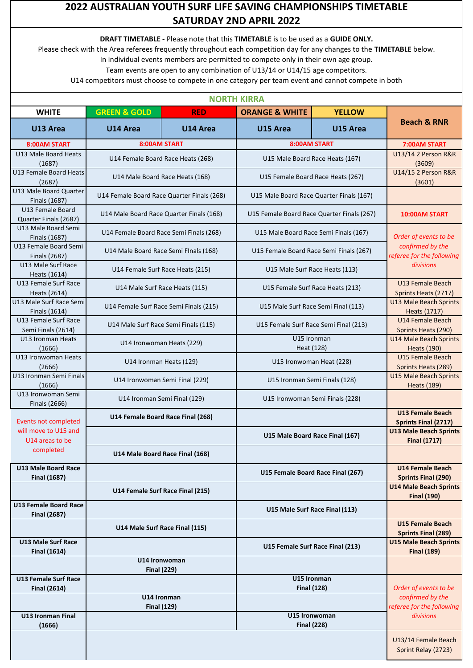## **2022 AUSTRALIAN YOUTH SURF LIFE SAVING CHAMPIONSHIPS TIMETABLE SATURDAY 2ND APRIL 2022**

**DRAFT TIMETABLE -** Please note that this **TIMETABLE** is to be used as a **GUIDE ONLY.**

Please check with the Area referees frequently throughout each competition day for any changes to the **TIMETABLE** below.

In individual events members are permitted to compete only in their own age group.

Team events are open to any combination of U13/14 or U14/15 age competitors.

|                                                     | <b>NORTH KIRRA</b>                         |                                   |                                                           |               |                                                                                     |  |  |
|-----------------------------------------------------|--------------------------------------------|-----------------------------------|-----------------------------------------------------------|---------------|-------------------------------------------------------------------------------------|--|--|
| <b>WHITE</b>                                        | <b>GREEN &amp; GOLD</b>                    | <b>RED</b>                        | <b>ORANGE &amp; WHITE</b>                                 | <b>YELLOW</b> |                                                                                     |  |  |
| U13 Area                                            | U14 Area                                   | U14 Area                          | U15 Area                                                  | U15 Area      | <b>Beach &amp; RNR</b>                                                              |  |  |
| 8:00AM START                                        |                                            | <b>8:00AM START</b>               | 8:00AM START                                              |               | 7:00AM START                                                                        |  |  |
| U13 Male Board Heats                                | U14 Female Board Race Heats (268)          |                                   | U15 Male Board Race Heats (167)                           |               | U13/14 2 Person R&R                                                                 |  |  |
| (1687)                                              |                                            |                                   |                                                           |               | (3609)                                                                              |  |  |
| U13 Female Board Heats<br>(2687)                    |                                            | U14 Male Board Race Heats (168)   | U15 Female Board Race Heats (267)                         |               | U14/15 2 Person R&R<br>(3601)                                                       |  |  |
| U13 Male Board Quarter<br>Finals (1687)             | U14 Female Board Race Quarter Finals (268) |                                   | U15 Male Board Race Quarter Finals (167)                  |               |                                                                                     |  |  |
| U13 Female Board<br>Quarter Finals (2687)           | U14 Male Board Race Quarter Finals (168)   |                                   | U15 Female Board Race Quarter Finals (267)                |               | 10:00AM START                                                                       |  |  |
| U13 Male Board Semi<br>Finals (1687)                | U14 Female Board Race Semi Finals (268)    |                                   | U15 Male Board Race Semi Finals (167)                     |               | Order of events to be                                                               |  |  |
| U13 Female Board Semi<br>Finals (2687)              | U14 Male Board Race Semi Flnals (168)      |                                   | U15 Female Board Race Semi Finals (267)                   |               | confirmed by the<br>referee for the following<br>divisions                          |  |  |
| U13 Male Surf Race<br>Heats (1614)                  | U14 Female Surf Race Heats (215)           |                                   | U15 Male Surf Race Heats (113)                            |               |                                                                                     |  |  |
| U13 Female Surf Race<br>Heats (2614)                | U14 Male Surf Race Heats (115)             |                                   | U15 Female Surf Race Heats (213)                          |               | U13 Female Beach<br>Sprints Heats (2717)                                            |  |  |
| U13 Male Surf Race Semi<br>Finals (1614)            | U14 Female Surf Race Semi Finals (215)     |                                   | U15 Male Surf Race Semi Final (113)                       |               | <b>U13 Male Beach Sprints</b><br>Heats (1717)                                       |  |  |
| U13 Female Surf Race<br>Semi Finals (2614)          | U14 Male Surf Race Semi Finals (115)       |                                   | U15 Female Surf Race Semi Final (213)                     |               | <b>U14 Female Beach</b><br>Sprints Heats (290)                                      |  |  |
| U13 Ironman Heats<br>(1666)                         | U14 Ironwoman Heats (229)                  |                                   | U15 Ironman<br>Heat (128)                                 |               | <b>U14 Male Beach Sprints</b><br><b>Heats (190)</b>                                 |  |  |
| U13 Ironwoman Heats<br>(2666)                       | U14 Ironman Heats (129)                    |                                   | U15 Ironwoman Heat (228)                                  |               | <b>U15 Female Beach</b><br>Sprints Heats (289)                                      |  |  |
| U13 Ironman Semi Finals<br>(1666)                   | U14 Ironwoman Semi Final (229)             |                                   | U15 Ironman Semi Finals (128)                             |               | <b>U15 Male Beach Sprints</b><br><b>Heats (189)</b>                                 |  |  |
| U13 Ironwoman Semi<br>FInals (2666)                 | U14 Ironman Semi Final (129)               |                                   | U15 Ironwoman Semi Finals (228)                           |               |                                                                                     |  |  |
| <b>Events not completed</b>                         | U14 Female Board Race Final (268)          |                                   |                                                           |               | <b>U13 Female Beach</b><br><b>Sprints Final (2717)</b>                              |  |  |
| will move to U15 and<br>U14 areas to be             |                                            |                                   | U15 Male Board Race Final (167)                           |               | <b>U13 Male Beach Sprints</b><br><b>Final (1717)</b>                                |  |  |
| completed                                           | U14 Male Board Race Final (168)            |                                   |                                                           |               |                                                                                     |  |  |
| <b>U13 Male Board Race</b><br><b>Final (1687)</b>   |                                            |                                   | U15 Female Board Race Final (267)                         |               | <b>U14 Female Beach</b><br><b>Sprints Final (290)</b>                               |  |  |
|                                                     |                                            | U14 Female Surf Race Final (215)  |                                                           |               | <b>U14 Male Beach Sprints</b><br><b>Final (190)</b>                                 |  |  |
| <b>U13 Female Board Race</b><br><b>Final (2687)</b> |                                            |                                   | U15 Male Surf Race Final (113)                            |               |                                                                                     |  |  |
|                                                     |                                            | U14 Male Surf Race Final (115)    |                                                           |               | <b>U15 Female Beach</b><br><b>Sprints Final (289)</b>                               |  |  |
| <b>U13 Male Surf Race</b><br><b>Final (1614)</b>    |                                            |                                   | U15 Female Surf Race Final (213)                          |               | <b>U15 Male Beach Sprints</b><br><b>Final (189)</b>                                 |  |  |
|                                                     | U14 Ironwoman<br><b>Final (229)</b>        |                                   |                                                           |               |                                                                                     |  |  |
| <b>U13 Female Surf Race</b>                         |                                            |                                   | U15 Ironman                                               |               | Order of events to be<br>confirmed by the<br>referee for the following<br>divisions |  |  |
| <b>Final (2614)</b>                                 |                                            | U14 Ironman<br><b>Final (129)</b> | <b>Final (128)</b><br>U15 Ironwoman<br><b>Final (228)</b> |               |                                                                                     |  |  |
| <b>U13 Ironman Final</b><br>(1666)                  |                                            |                                   |                                                           |               |                                                                                     |  |  |
|                                                     |                                            |                                   |                                                           |               | U13/14 Female Beach<br>Sprint Relay (2723)                                          |  |  |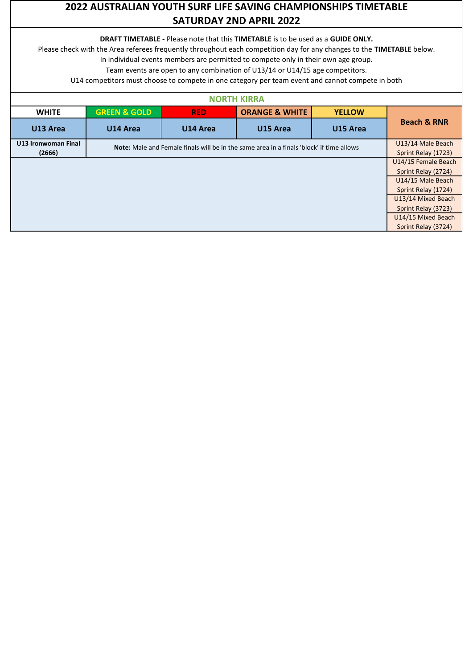## **2022 AUSTRALIAN YOUTH SURF LIFE SAVING CHAMPIONSHIPS TIMETABLE SATURDAY 2ND APRIL 2022**

#### **DRAFT TIMETABLE -** Please note that this **TIMETABLE** is to be used as a **GUIDE ONLY.**

Please check with the Area referees frequently throughout each competition day for any changes to the **TIMETABLE** below.

In individual events members are permitted to compete only in their own age group.

Team events are open to any combination of U13/14 or U14/15 age competitors.

| <b>NORTH KIRRA</b>  |                                                                                          |            |                           |               |                        |  |
|---------------------|------------------------------------------------------------------------------------------|------------|---------------------------|---------------|------------------------|--|
| <b>WHITE</b>        | <b>GREEN &amp; GOLD</b>                                                                  | <b>RED</b> | <b>ORANGE &amp; WHITE</b> | <b>YELLOW</b> | <b>Beach &amp; RNR</b> |  |
| U13 Area            | U14 Area                                                                                 | U14 Area   | U15 Area                  | U15 Area      |                        |  |
| U13 Ironwoman Final | Note: Male and Female finals will be in the same area in a finals 'block' if time allows |            |                           |               |                        |  |
| (2666)              |                                                                                          |            |                           |               |                        |  |
|                     | U14/15 Female Beach                                                                      |            |                           |               |                        |  |
|                     | Sprint Relay (2724)                                                                      |            |                           |               |                        |  |
|                     | U14/15 Male Beach                                                                        |            |                           |               |                        |  |
|                     | Sprint Relay (1724)                                                                      |            |                           |               |                        |  |
|                     | U13/14 Mixed Beach                                                                       |            |                           |               |                        |  |
|                     | Sprint Relay (3723)                                                                      |            |                           |               |                        |  |
|                     | U14/15 Mixed Beach                                                                       |            |                           |               |                        |  |
|                     | Sprint Relay (3724)                                                                      |            |                           |               |                        |  |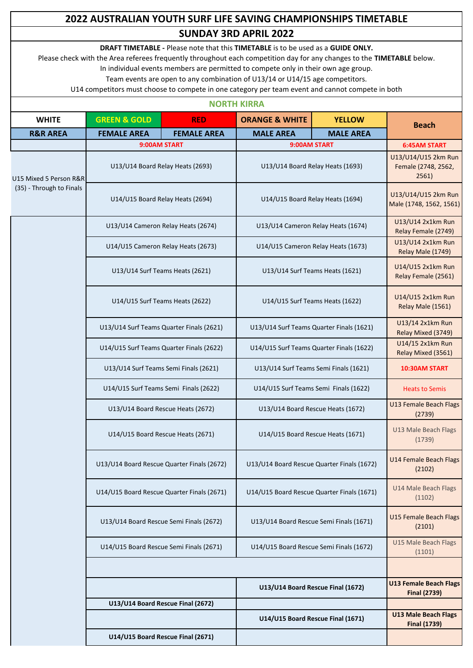# **2022 AUSTRALIAN YOUTH SURF LIFE SAVING CHAMPIONSHIPS TIMETABLE SUNDAY 3RD APRIL 2022**

**DRAFT TIMETABLE -** Please note that this **TIMETABLE** is to be used as a **GUIDE ONLY.**

Please check with the Area referees frequently throughout each competition day for any changes to the **TIMETABLE** below.

In individual events members are permitted to compete only in their own age group.

Team events are open to any combination of U13/14 or U14/15 age competitors.

| <b>NORTH KIRRA</b>                                 |                                            |                                   |                                            |                  |                                                      |  |
|----------------------------------------------------|--------------------------------------------|-----------------------------------|--------------------------------------------|------------------|------------------------------------------------------|--|
| <b>WHITE</b>                                       | <b>GREEN &amp; GOLD</b>                    | <b>RED</b>                        | <b>ORANGE &amp; WHITE</b>                  | <b>YELLOW</b>    | <b>Beach</b>                                         |  |
| <b>R&amp;R AREA</b>                                | <b>FEMALE AREA</b>                         | <b>FEMALE AREA</b>                | <b>MALE AREA</b>                           | <b>MALE AREA</b> |                                                      |  |
|                                                    |                                            | 9:00AM START                      | 9:00AM START                               |                  | <b>6:45AM START</b>                                  |  |
| U15 Mixed 5 Person R&R<br>(35) - Through to Finals | U13/U14 Board Relay Heats (2693)           |                                   | U13/U14 Board Relay Heats (1693)           |                  | U13/U14/U15 2km Run<br>Female (2748, 2562,<br>2561)  |  |
|                                                    | U14/U15 Board Relay Heats (2694)           |                                   | U14/U15 Board Relay Heats (1694)           |                  | U13/U14/U15 2km Run<br>Male (1748, 1562, 1561)       |  |
|                                                    | U13/U14 Cameron Relay Heats (2674)         |                                   | U13/U14 Cameron Relay Heats (1674)         |                  | U13/U14 2x1km Run<br>Relay Female (2749)             |  |
|                                                    | U14/U15 Cameron Relay Heats (2673)         |                                   | U14/U15 Cameron Relay Heats (1673)         |                  | U13/U14 2x1km Run<br>Relay Male (1749)               |  |
|                                                    | U13/U14 Surf Teams Heats (2621)            |                                   | U13/U14 Surf Teams Heats (1621)            |                  | U14/U15 2x1km Run<br>Relay Female (2561)             |  |
|                                                    | U14/U15 Surf Teams Heats (2622)            |                                   | U14/U15 Surf Teams Heats (1622)            |                  | U14/U15 2x1km Run<br>Relay Male (1561)               |  |
|                                                    | U13/U14 Surf Teams Quarter Finals (2621)   |                                   | U13/U14 Surf Teams Quarter Finals (1621)   |                  | U13/14 2x1km Run<br>Relay Mixed (3749)               |  |
|                                                    | U14/U15 Surf Teams Quarter Finals (2622)   |                                   | U14/U15 Surf Teams Quarter Finals (1622)   |                  | U14/15 2x1km Run<br>Relay Mixed (3561)               |  |
|                                                    | U13/U14 Surf Teams Semi Finals (2621)      |                                   | U13/U14 Surf Teams Semi Finals (1621)      |                  | <b>10:30AM START</b>                                 |  |
|                                                    | U14/U15 Surf Teams Semi Finals (2622)      |                                   | U14/U15 Surf Teams Semi Finals (1622)      |                  | <b>Heats to Semis</b>                                |  |
|                                                    | U13/U14 Board Rescue Heats (2672)          |                                   | U13/U14 Board Rescue Heats (1672)          |                  | <b>U13 Female Beach Flags</b><br>(2739)              |  |
|                                                    | U14/U15 Board Rescue Heats (2671)          |                                   | U14/U15 Board Rescue Heats (1671)          |                  | U13 Male Beach Flags<br>(1739)                       |  |
|                                                    | U13/U14 Board Rescue Quarter Finals (2672) |                                   | U13/U14 Board Rescue Quarter Finals (1672) |                  | U14 Female Beach Flags<br>(2102)                     |  |
|                                                    | U14/U15 Board Rescue Quarter Finals (2671) |                                   | U14/U15 Board Rescue Quarter Finals (1671) |                  | U14 Male Beach Flags<br>(1102)                       |  |
|                                                    | U13/U14 Board Rescue Semi Finals (2672)    |                                   | U13/U14 Board Rescue Semi Finals (1671)    |                  | U15 Female Beach Flags<br>(2101)                     |  |
|                                                    | U14/U15 Board Rescue Semi Finals (2671)    |                                   | U14/U15 Board Rescue Semi Finals (1672)    |                  | U15 Male Beach Flags<br>(1101)                       |  |
|                                                    |                                            |                                   |                                            |                  |                                                      |  |
|                                                    |                                            |                                   | U13/U14 Board Rescue Final (1672)          |                  | <b>U13 Female Beach Flags</b><br><b>Final (2739)</b> |  |
|                                                    |                                            | U13/U14 Board Rescue Final (2672) |                                            |                  |                                                      |  |
|                                                    |                                            |                                   | U14/U15 Board Rescue Final (1671)          |                  | <b>U13 Male Beach Flags</b><br><b>Final (1739)</b>   |  |
|                                                    |                                            | U14/U15 Board Rescue Final (2671) |                                            |                  |                                                      |  |